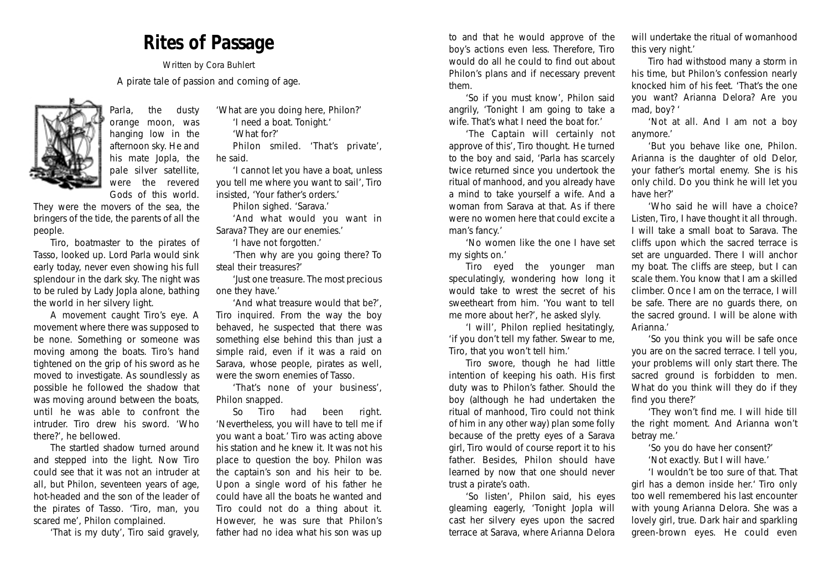## *Rites of Passage*

*Written by Cora Buhlert A pirate tale of passion and coming of age.*



Parla, the dusty orange moon, was hanging low in the afternoon sky. He and his mate Jopla, the pale silver satellite, were the revered Gods of this world.

They were the movers of the sea, the bringers of the tide, the parents of all the people.

Tiro, boatmaster to the pirates of Tasso, looked up. Lord Parla would sink early today, never even showing his full splendour in the dark sky. The night was to be ruled by Lady Jopla alone, bathing the world in her silvery light.

A movement caught Tiro's eye. A movement where there was supposed to be none. Something or someone was moving among the boats. Tiro's hand tightened on the grip of his sword as he moved to investigate. As soundlessly as possible he followed the shadow that was moving around between the boats, until he was able to confront the intruder. Tiro drew his sword. '*Who there?*', he bellowed.

The startled shadow turned around and stepped into the light. Now Tiro could see that it was not an intruder at all, but Philon, seventeen years of age, hot-headed and the son of the leader of the pirates of Tasso. '*Tiro, man, you scared me*', Philon complained.

'*That is my duty*', Tiro said gravely,

'*What are you doing here*, *Philon*?' '*I need a boat. Tonight*.'

'*What for?*'

Philon smiled. '*That's private*', he said.

'*I cannot let you have a boat*, *unless you tell me where you want to sail*', Tiro insisted, '*Your father's orders*.'

Philon sighed. '*Sarava*.'

'*And what would you want in Sarava? They are our enemies*.'

'*I have not forgotten*.'

'*Then why are you going there? To steal their treasures?*'

'*Just one treasure. The most precious one they have.*'

'*And what treasure would that be?*', Tiro inquired. From the way the boy behaved, he suspected that there was something else behind this than just a simple raid, even if it was a raid on Sarava, whose people, pirates as well, were the sworn enemies of Tasso.

'*That's none of your business*', Philon snapped.

So Tiro had been right. '*Nevertheless, you will have to tell me if you want a boat.*' Tiro was acting above his station and he knew it. It was not his place to question the boy. Philon was the captain's son and his heir to be. Upon a single word of his father he could have all the boats he wanted and Tiro could not do a thing about it. However, he was sure that Philon's father had no idea what his son was up

to and that he would approve of the boy's actions even less. Therefore, Tiro would do all he could to find out about Philon's plans and if necessary prevent them.

'*So if you must know*', Philon said angrily, '*Tonight I am going to take a wife. That's what I need the boat for.*'

'*The Captain will certainly not approve of this*', Tiro thought. He turned to the boy and said, '*Parla has scarcely twice returned since you undertook the ritual of manhood, and you already have a mind to take yourself a wife. And a woman from Sarava at that. As if there were no women here that could excite a man's fancy.*'

'*No women like the one I have set my sights on.*'

Tiro eyed the younger man speculatingly, wondering how long it would take to wrest the secret of his sweetheart from him. '*You want to tell me more about her?*', he asked slyly.

'*I will*', Philon replied hesitatingly, '*if you don't tell my father. Swear to me, Tiro, that you won't tell him*.'

Tiro swore, though he had little intention of keeping his oath. His first duty was to Philon's father. Should the boy (although he had undertaken the ritual of manhood, Tiro could not think of him in any other way) plan some folly because of the pretty eyes of a Sarava girl, Tiro would of course report it to his father. Besides, Philon should have learned by now that one should never trust a pirate's oath.

'*So listen*', Philon said, his eyes gleaming eagerly, '*Tonight Jopla will cast her silvery eyes upon the sacred terrace at Sarava, where Arianna Delora*

*will undertake the ritual of womanhood this very night*.'

Tiro had withstood many a storm in his time, but Philon's confession nearly knocked him of his feet. '*That's the one you want? Arianna Delora? Are you mad, boy?* '

'*Not at all. And I am not a boy anymore*.'

'*But you behave like one, Philon. Arianna is the daughter of old Delor, your father's mortal enemy. She is his only child. Do you think he will let you have her?*'

'*Who said he will have a choice? Listen, Tiro, I have thought it all through. I will take a small boat to Sarava. The cliffs upon which the sacred terrace is set are unguarded. There I will anchor my boat. The cliffs are steep, but I can scale them. You know that I am a skilled climber. Once I am on the terrace, I will be safe. There are no guards there, on the sacred ground. I will be alone with Arianna*.'

'*So you think you will be safe once you are on the sacred terrace. I tell you, your problems will only start there. The sacred ground is forbidden to men. What do you think will they do if they find you there?*'

'*They won't find me. I will hide till the right moment. And Arianna won't betray me.*'

'*So you do have her consent?*' '*Not exactly. But I will have.*'

'*I wouldn't be too sure of that. That girl has a demon inside her.*' Tiro only too well remembered his last encounter with young Arianna Delora. She was a lovely girl, true. Dark hair and sparkling green-brown eyes. He could even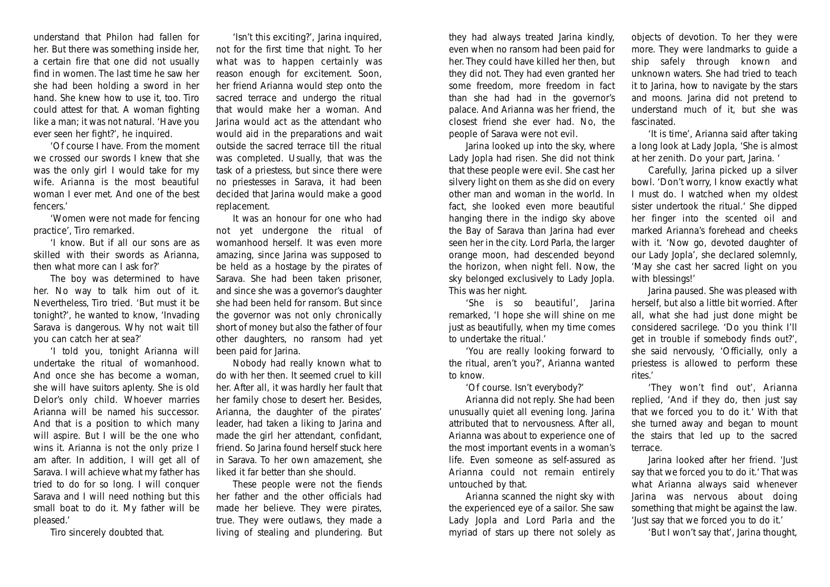understand that Philon had fallen for her. But there was something inside her, a certain fire that one did not usually find in women. The last time he saw her she had been holding a sword in her hand. She knew how to use it, too. Tiro could attest for that. A woman fighting like a man; it was not natural. '*Have you ever seen her fight?*', he inquired.

'*Of course I have. From the moment we crossed our swords I knew that she was the only girl I would take for my wife. Arianna is the most beautiful woman I ever met. And one of the best fencers*.'

'*Women were not made for fencing practice*', Tiro remarked.

'*I know. But if all our sons are as skilled with their swords as Arianna, then what more can I ask for?*'

The boy was determined to have her. No way to talk him out of it. Nevertheless, Tiro tried. 'B*ut must it be tonight?*', he wanted to know, '*Invading Sarava is dangerous. Why not wait till you can catch her at sea?*'

'*I told you, tonight Arianna will undertake the ritual of womanhood. And once she has become a woman, she will have suitors aplenty. She is old Delor's only child. Whoever marries Arianna will be named his successor. And that is a position to which many will aspire. But I will be the one who wins it. Arianna is not the only prize I am after. In addition, I will get all of Sarava. I will achieve what my father has tried to do for so long. I will conquer Sarava and I will need nothing but this small boat to do it. My father will be pleased*.'

Tiro sincerely doubted that.

'*Isn't this exciting*?', Jarina inquired, not for the first time that night. To her what was to happen certainly was reason enough for excitement. Soon, her friend Arianna would step onto the sacred terrace and undergo the ritual that would make her a woman. And Jarina would act as the attendant who would aid in the preparations and wait outside the sacred terrace till the ritual was completed. Usually, that was the task of a priestess, but since there were no priestesses in Sarava, it had been decided that Jarina would make a good replacement.

It was an honour for one who had not yet undergone the ritual of womanhood herself. It was even more amazing, since Jarina was supposed to be held as a hostage by the pirates of Sarava. She had been taken prisoner, and since she was a governor's daughter she had been held for ransom. But since the governor was not only chronically short of money but also the father of four other daughters, no ransom had yet been paid for Jarina.

Nobody had really known what to do with her then. It seemed cruel to kill her. After all, it was hardly her fault that her family chose to desert her. Besides, Arianna, the daughter of the pirates' leader, had taken a liking to Jarina and made the girl her attendant, confidant, friend. So Jarina found herself stuck here in Sarava. To her own amazement, she liked it far better than she should.

These people were not the fiends her father and the other officials had made her believe. They were pirates, true. They were outlaws, they made a living of stealing and plundering. But

they had always treated Jarina kindly, even when no ransom had been paid for her. They could have killed her then, but they did not. They had even granted her some freedom, more freedom in fact than she had had in the governor's palace. And Arianna was her friend, the closest friend she ever had. No, the people of Sarava were not evil.

Jarina looked up into the sky, where Lady Jopla had risen. She did not think that these people were evil. She cast her silvery light on them as she did on every other man and woman in the world. In fact, she looked even more beautiful hanging there in the indigo sky above the Bay of Sarava than Jarina had ever seen her in the city. Lord Parla, the larger orange moon, had descended beyond the horizon, when night fell. Now, the sky belonged exclusively to Lady Jopla. This was her night.

'*She is so beautiful*', Jarina remarked, '*I hope she will shine on me just as beautifully, when my time comes to undertake the ritual*.'

'*You are really looking forward to the ritual, aren't you?*', Arianna wanted to know.

'*Of course. Isn't everybody*?'

Arianna did not reply. She had been unusually quiet all evening long. Jarina attributed that to nervousness. After all, Arianna was about to experience one of the most important events in a woman's life. Even someone as self-assured as Arianna could not remain entirely untouched by that.

Arianna scanned the night sky with the experienced eye of a sailor. She saw Lady Jopla and Lord Parla and the myriad of stars up there not solely as objects of devotion. To her they were more. They were landmarks to guide a ship safely through known and unknown waters. She had tried to teach it to Jarina, how to navigate by the stars and moons. Jarina did not pretend to understand much of it, but she was fascinated.

'*It is time*', Arianna said after taking a long look at Lady Jopla, '*She is almost at her zenith. Do your part, Jarina*. '

Carefully, Jarina picked up a silver bowl. '*Don't worry, I know exactly what I must do. I watched when my oldest sister undertook the ritual.*' She dipped her finger into the scented oil and marked Arianna's forehead and cheeks with it. '*Now go, devoted daughter of our Lady Jopla*', she declared solemnly, '*May she cast her sacred light on you with blessings*!'

Jarina paused. She was pleased with herself, but also a little bit worried. After all, what she had just done might be considered sacrilege. '*Do you think I'll get in trouble if somebody finds out?*', she said nervously, '*Officially, only a priestess is allowed to perform these rites*.'

'*They won't find out*', Arianna replied, '*And if they do, then just say that we forced you to do it.*' With that she turned away and began to mount the stairs that led up to the sacred terrace.

Jarina looked after her friend. '*Just say that we forced you to do it.*' That was what Arianna always said whenever Jarina was nervous about doing something that might be against the law. '*Just say that we forced you to do it*.'

'*But I won't say that*', Jarina thought,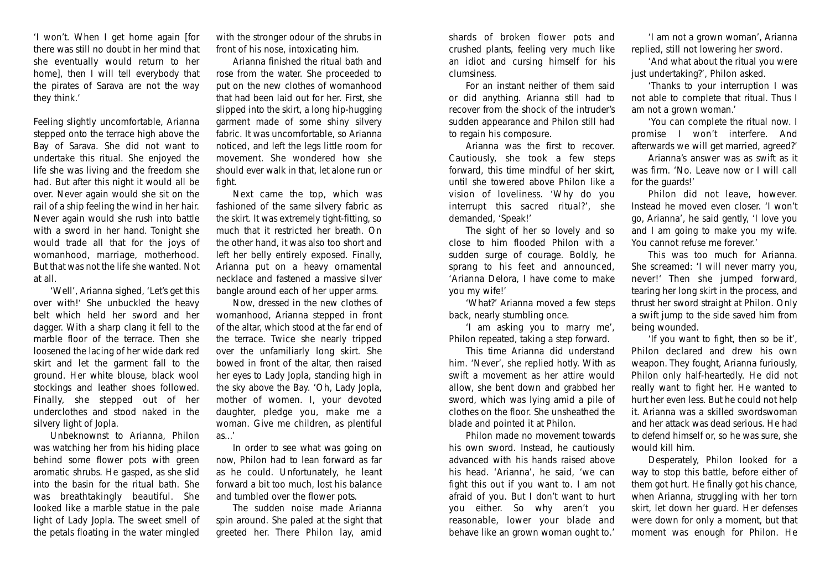'*I won't. When I get home again* [for there was still no doubt in her mind that she eventually would return to her home], *then I will tell everybody that the pirates of Sarava are not the way they think.*'

Feeling slightly uncomfortable, Arianna stepped onto the terrace high above the Bay of Sarava. She did not want to undertake this ritual. She enjoyed the life she was living and the freedom she had. But after this night it would all be over. Never again would she sit on the rail of a ship feeling the wind in her hair. Never again would she rush into battle with a sword in her hand. Tonight she would trade all that for the joys of womanhood, marriage, motherhood. But that was not the life she wanted. Not at all.

'*Well*', Arianna sighed, '*Let's get this over with!*' She unbuckled the heavy belt which held her sword and her dagger. With a sharp clang it fell to the marble floor of the terrace. Then she loosened the lacing of her wide dark red skirt and let the garment fall to the ground. Her white blouse, black wool stockings and leather shoes followed. Finally, she stepped out of her underclothes and stood naked in the silvery light of Jopla.

Unbeknownst to Arianna, Philon was watching her from his hiding place behind some flower pots with green aromatic shrubs. He gasped, as she slid into the basin for the ritual bath. She was breathtakingly beautiful. She looked like a marble statue in the pale light of Lady Jopla. The sweet smell of the petals floating in the water mingled with the stronger odour of the shrubs in front of his nose, intoxicating him.

Arianna finished the ritual bath and rose from the water. She proceeded to put on the new clothes of womanhood that had been laid out for her. First, she slipped into the skirt, a long hip-hugging garment made of some shiny silvery fabric. It was uncomfortable, so Arianna noticed, and left the legs little room for movement. She wondered how she should ever walk in that, let alone run or fight.

Next came the top, which was fashioned of the same silvery fabric as the skirt. It was extremely tight-fitting, so much that it restricted her breath. On the other hand, it was also too short and left her belly entirely exposed. Finally, Arianna put on a heavy ornamental necklace and fastened a massive silver bangle around each of her upper arms.

Now, dressed in the new clothes of womanhood, Arianna stepped in front of the altar, which stood at the far end of the terrace. Twice she nearly tripped over the unfamiliarly long skirt. She bowed in front of the altar, then raised her eyes to Lady Jopla, standing high in the sky above the Bay. '*Oh, Lady Jopla, mother of women. I, your devoted daughter, pledge you, make me a woman. Give me children, as plentiful as*...'

In order to see what was going on now, Philon had to lean forward as far as he could. Unfortunately, he leant forward a bit too much, lost his balance and tumbled over the flower pots.

The sudden noise made Arianna spin around. She paled at the sight that greeted her. There Philon lay, amid

shards of broken flower pots and crushed plants, feeling very much like an idiot and cursing himself for his clumsiness.

For an instant neither of them said or did anything. Arianna still had to recover from the shock of the intruder's sudden appearance and Philon still had to regain his composure.

Arianna was the first to recover. Cautiously, she took a few steps forward, this time mindful of her skirt, until she towered above Philon like a vision of loveliness. '*Why do you interrupt this sacred ritual?*', she demanded, '*Speak!*'

The sight of her so lovely and so close to him flooded Philon with a sudden surge of courage. Boldly, he sprang to his feet and announced, '*Arianna Delora, I have come to make you my wife!*'

'*What?*' Arianna moved a few steps back, nearly stumbling once.

'*I am asking you to marry me*', Philon repeated, taking a step forward.

This time Arianna did understand him. '*Never*', she replied hotly. With as swift a movement as her attire would allow, she bent down and grabbed her sword, which was lying amid a pile of clothes on the floor. She unsheathed the blade and pointed it at Philon.

Philon made no movement towards his own sword. Instead, he cautiously advanced with his hands raised above his head. '*Arianna*', he said, '*we can fight this out if you want to. I am not afraid of you. But I don't want to hurt you either. So why aren't you reasonable, lower your blade and behave like an grown woman ought to.*'

'*I am not a grown woman*', Arianna replied, still not lowering her sword.

'*And what about the ritual you were just undertaking?*', Philon asked.

'*Thanks to your interruption I was not able to complete that ritual. Thus I am not a grown woman*.'

'*You can complete the ritual now. I promise I won't interfere. And afterwards we will get married, agreed?*'

Arianna's answer was as swift as it was firm. '*No. Leave now or I will call for the guards!*'

Philon did not leave, however. Instead he moved even closer. '*I won't go, Arianna'*, he said gently, '*I love you and I am going to make you my wife. You cannot refuse me forever.*'

This was too much for Arianna. She screamed: '*I will never marry you*, *never!*' Then she jumped forward, tearing her long skirt in the process, and thrust her sword straight at Philon. Only a swift jump to the side saved him from being wounded.

'*If you want to fight, then so be it*', Philon declared and drew his own weapon. They fought, Arianna furiously, Philon only half-heartedly. He did not really want to fight her. He wanted to hurt her even less. But he could not help it. Arianna was a skilled swordswoman and her attack was dead serious. He had to defend himself or, so he was sure, she would kill him.

Desperately, Philon looked for a way to stop this battle, before either of them got hurt. He finally got his chance, when Arianna, struggling with her torn skirt, let down her guard. Her defenses were down for only a moment, but that moment was enough for Philon. He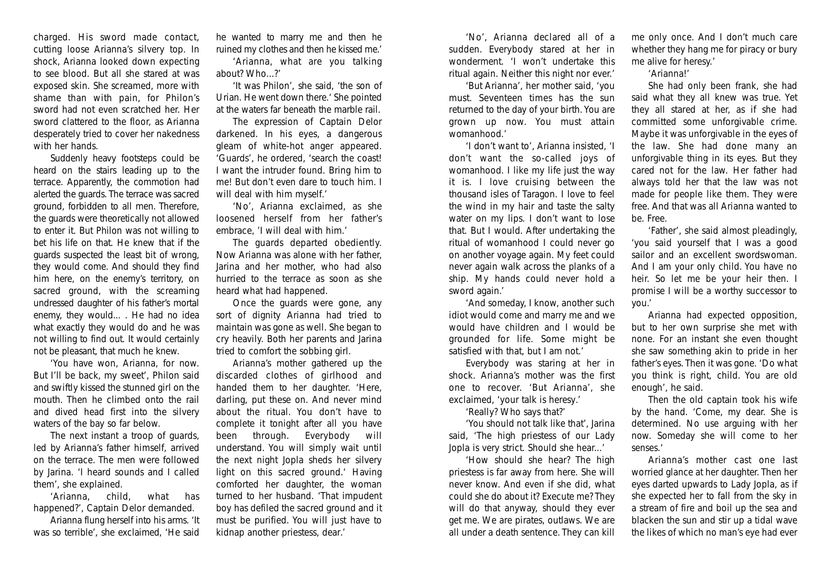charged. His sword made contact, cutting loose Arianna's silvery top. In shock, Arianna looked down expecting to see blood. But all she stared at was exposed skin. She screamed, more with shame than with pain, for Philon's sword had not even scratched her. Her sword clattered to the floor, as Arianna desperately tried to cover her nakedness with her hands.

Suddenly heavy footsteps could be heard on the stairs leading up to the terrace. Apparently, the commotion had alerted the guards. The terrace was sacred ground, forbidden to all men. Therefore, the guards were theoretically not allowed to enter it. But Philon was not willing to bet his life on that. He knew that if the guards suspected the least bit of wrong, they would come. And should they find him here, on the enemy's territory, on sacred ground, with the screaming undressed daughter of his father's mortal enemy, they would... . He had no idea what exactly they would do and he was not willing to find out. It would certainly not be pleasant, that much he knew.

'*You have won, Arianna, for now. But I'll be back, my sweet*', Philon said and swiftly kissed the stunned girl on the mouth. Then he climbed onto the rail and dived head first into the silvery waters of the bay so far below.

The next instant a troop of guards, led by Arianna's father himself, arrived on the terrace. The men were followed by Jarina. '*I heard sounds and I called them*', she explained.

'*Arianna, child, what has happened?*', Captain Delor demanded.

Arianna flung herself into his arms. '*It was so terrible*', she exclaimed, '*He said*

*he wanted to marry me and then he ruined my clothes and then he kissed me*.'

'*Arianna, what are you talking about? Who*...?'

'*It was Philon*', she said, '*the son of Urian. He went down there.*' She pointed at the waters far beneath the marble rail.

The expression of Captain Delor darkened. In his eyes, a dangerous gleam of white-hot anger appeared. '*Guards*', he ordered, '*search the coast! I want the intruder found. Bring him to me! But don't even dare to touch him. I will deal with him myself.*'

'*No*', Arianna exclaimed, as she loosened herself from her father's embrace, '*I will deal with him.*'

The guards departed obediently. Now Arianna was alone with her father, Jarina and her mother, who had also hurried to the terrace as soon as she heard what had happened.

Once the guards were gone, any sort of dignity Arianna had tried to maintain was gone as well. She began to cry heavily. Both her parents and Jarina tried to comfort the sobbing girl.

Arianna's mother gathered up the discarded clothes of girlhood and handed them to her daughter. '*Here, darling, put these on. And never mind about the ritual. You don't have to complete it tonight after all you have been through. Everybody will understand. You will simply wait until the next night Jopla sheds her silvery light on this sacred ground.*' Having comforted her daughter, the woman turned to her husband. '*That impudent boy has defiled the sacred ground and it must be purified. You will just have to kidnap another priestess, dear*.'

'*No*', Arianna declared all of a sudden. Everybody stared at her in wonderment. '*I won't undertake this ritual again. Neither this night nor ever.*'

'*But Arianna*', her mother said, '*you must. Seventeen times has the sun returned to the day of your birth. You are grown up now. You must attain womanhood.*'

'*I don't want to*', Arianna insisted, '*I don't want the so-called joys of womanhood. I like my life just the way it is. I love cruising between the thousand isles of Taragon. I love to feel the wind in my hair and taste the salty water on my lips. I don't want to lose that. But I would. After undertaking the ritual of womanhood I could never go on another voyage again. My feet could never again walk across the planks of a ship. My hands could never hold a sword again*.'

'*And someday, I know, another such idiot would come and marry me and we would have children and I would be grounded for life. Some might be satisfied with that, but I am not.*'

Everybody was staring at her in shock. Arianna's mother was the first one to recover. '*But Arianna*', she exclaimed, 'y*our talk is heresy*.'

'*Really? Who says that?*'

'*You should not talk like that*', Jarina said, '*The high priestess of our Lady Jopla is very strict. Should she hear...*'

'*How should she hear? The high priestess is far away from here. She will never know. And even if she did, what could she do about it? Execute me? They will do that anyway, should they ever get me. We are pirates, outlaws. We are all under a death sentence. They can kill* *me only once. And I don't much care whether they hang me for piracy or bury me alive for heresy.*'

## '*Arianna!*'

She had only been frank, she had said what they all knew was true. Yet they all stared at her, as if she had committed some unforgivable crime. Maybe it was unforgivable in the eyes of the law. She had done many an unforgivable thing in its eyes. But they cared not for the law. Her father had always told her that the law was not made for people like them. They were free. And that was all Arianna wanted to be. Free.

'*Father*', she said almost pleadingly, '*you said yourself that I was a good sailor and an excellent swordswoman. And I am your only child. You have no heir. So let me be your heir then. I promise I will be a worthy successor to you*.'

Arianna had expected opposition, but to her own surprise she met with none. For an instant she even thought she saw something akin to pride in her father's eyes. Then it was gone. '*Do what you think is right, child. You are old enough*', he said.

Then the old captain took his wife by the hand. '*Come, my dear. She is determined. No use arguing with her now. Someday she will come to her senses.*'

Arianna's mother cast one last worried glance at her daughter. Then her eyes darted upwards to Lady Jopla, as if she expected her to fall from the sky in a stream of fire and boil up the sea and blacken the sun and stir up a tidal wave the likes of which no man's eye had ever